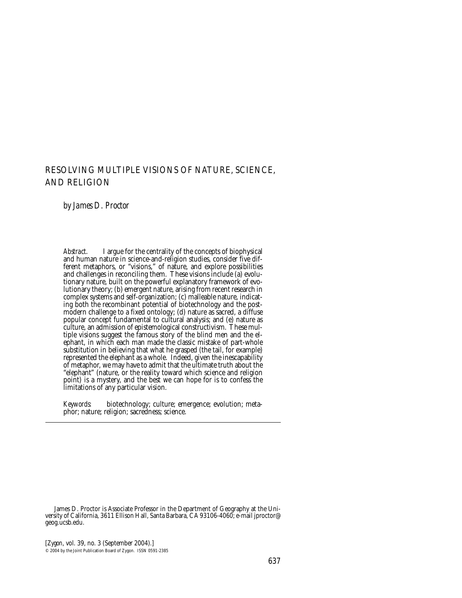# RESOLVING MULTIPLE VISIONS OF NATURE, SCIENCE, AND RELIGION

*by James D. Proctor*

*Abstract*. I argue for the centrality of the concepts of biophysical and human nature in science-and-religion studies, consider five different metaphors, or "visions," of nature, and explore possibilities and challenges in reconciling them. These visions include (a) evolutionary nature, built on the powerful explanatory framework of evolutionary theory; (b) emergent nature, arising from recent research in complex systems and self-organization; (c) malleable nature, indicating both the recombinant potential of biotechnology and the postmodern challenge to a fixed ontology; (d) nature as sacred, a diffuse popular concept fundamental to cultural analysis; and (e) nature as culture, an admission of epistemological constructivism. These multiple visions suggest the famous story of the blind men and the elephant, in which each man made the classic mistake of part-whole substitution in believing that what he grasped (the tail, for example) represented the elephant as a whole. Indeed, given the inescapability of metaphor, we may have to admit that the ultimate truth about the "elephant" (nature, or the reality toward which science and religion point) is a mystery, and the best we can hope for is to confess the limitations of any particular vision.

*Keywords:* biotechnology; culture; emergence; evolution; metaphor; nature; religion; sacredness; science.

James D. Proctor is Associate Professor in the Department of Geography at the University of California, 3611 Ellison Hall, Santa Barbara, CA 93106-4060; e-mail jproctor@ geog.ucsb.edu.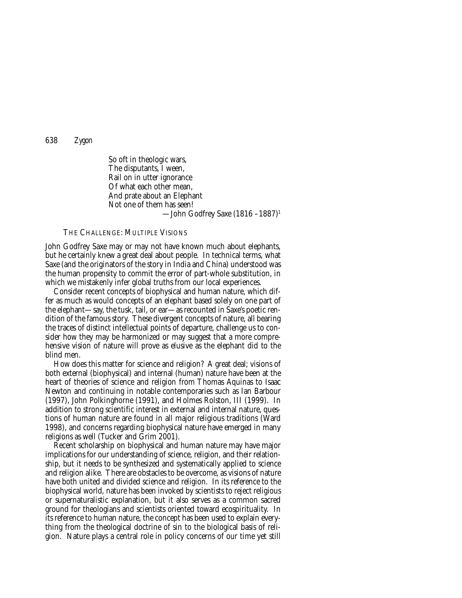So oft in theologic wars, The disputants, I ween, Rail on in utter ignorance Of what each other mean, And prate about an Elephant Not one of them has seen! —John Godfrey Saxe (1816 –1887)1

### THE CHALLENGE: MULTIPLE VISIONS

John Godfrey Saxe may or may not have known much about elephants, but he certainly knew a great deal about people. In technical terms, what Saxe (and the originators of the story in India and China) understood was the human propensity to commit the error of part-whole substitution, in which we mistakenly infer global truths from our local experiences.

Consider recent concepts of biophysical and human nature, which differ as much as would concepts of an elephant based solely on one part of the elephant—say, the tusk, tail, or ear—as recounted in Saxe's poetic rendition of the famous story. These divergent concepts of nature, all bearing the traces of distinct intellectual points of departure, challenge us to consider how they may be harmonized or may suggest that a more comprehensive vision of nature will prove as elusive as the elephant did to the blind men.

How does this matter for science and religion? A great deal; visions of both external (biophysical) and internal (human) nature have been at the heart of theories of science and religion from Thomas Aquinas to Isaac Newton and continuing in notable contemporaries such as Ian Barbour (1997), John Polkinghorne (1991), and Holmes Rolston, III (1999). In addition to strong scientific interest in external and internal nature, questions of human nature are found in all major religious traditions (Ward 1998), and concerns regarding biophysical nature have emerged in many religions as well (Tucker and Grim 2001).

Recent scholarship on biophysical and human nature may have major implications for our understanding of science, religion, and their relationship, but it needs to be synthesized and systematically applied to science and religion alike. There are obstacles to be overcome, as visions of nature have both united and divided science and religion. In its reference to the biophysical world, nature has been invoked by scientists to reject religious or supernaturalistic explanation, but it also serves as a common sacred ground for theologians and scientists oriented toward ecospirituality. In its reference to human nature, the concept has been used to explain everything from the theological doctrine of sin to the biological basis of religion. Nature plays a central role in policy concerns of our time yet still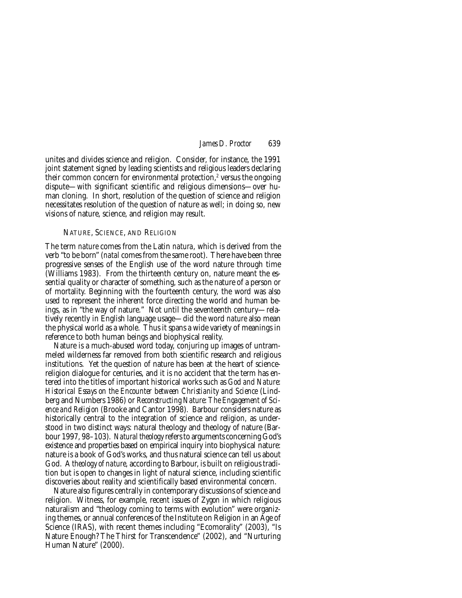unites and divides science and religion. Consider, for instance, the 1991 joint statement signed by leading scientists and religious leaders declaring their common concern for environmental protection, $\emph{z}$  versus the ongoing dispute—with significant scientific and religious dimensions—over human cloning. In short, resolution of the question of science and religion necessitates resolution of the question of nature as well; in doing so, new visions of nature, science, and religion may result.

### NATURE, SCIENCE, AND RELIGION

The term *nature* comes from the Latin *natura*, which is derived from the verb "to be born" (*natal* comes from the same root). There have been three progressive senses of the English use of the word nature through time (Williams 1983). From the thirteenth century on, nature meant the essential quality or character of something, such as the nature of a person or of mortality. Beginning with the fourteenth century, the word was also used to represent the inherent force directing the world and human beings, as in "the way of nature." Not until the seventeenth century—relatively recently in English language usage—did the word *nature* also mean the physical world as a whole. Thus it spans a wide variety of meanings in reference to both human beings and biophysical reality.

Nature is a much-abused word today, conjuring up images of untrammeled wilderness far removed from both scientific research and religious institutions. Yet the question of nature has been at the heart of sciencereligion dialogue for centuries, and it is no accident that the term has entered into the titles of important historical works such as *God and Nature: Historical Essays on the Encounter between Christianity and Science* (Lindberg and Numbers 1986) or *Reconstructing Nature: The Engagement of Science and Religion* (Brooke and Cantor 1998). Barbour considers nature as historically central to the integration of science and religion, as understood in two distinct ways: natural theology and theology of nature (Barbour 1997, 98–103). *Natural theology* refers to arguments concerning God's existence and properties based on empirical inquiry into biophysical nature: nature is a book of God's works, and thus natural science can tell us about God. A *theology of nature*, according to Barbour, is built on religious tradition but is open to changes in light of natural science, including scientific discoveries about reality and scientifically based environmental concern.

Nature also figures centrally in contemporary discussions of science and religion. Witness, for example, recent issues of *Zygon* in which religious naturalism and "theology coming to terms with evolution" were organizing themes, or annual conferences of the Institute on Religion in an Age of Science (IRAS), with recent themes including "Ecomorality" (2003), "Is Nature Enough? The Thirst for Transcendence" (2002), and "Nurturing Human Nature" (2000).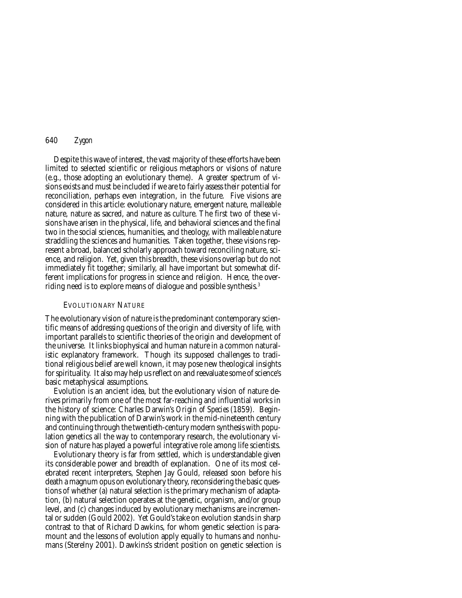Despite this wave of interest, the vast majority of these efforts have been limited to selected scientific or religious metaphors or visions of nature (e.g., those adopting an evolutionary theme). A greater spectrum of visions exists and must be included if we are to fairly assess their potential for reconciliation, perhaps even integration, in the future. Five visions are considered in this article: evolutionary nature, emergent nature, malleable nature, nature as sacred, and nature as culture. The first two of these visions have arisen in the physical, life, and behavioral sciences and the final two in the social sciences, humanities, and theology, with malleable nature straddling the sciences and humanities. Taken together, these visions represent a broad, balanced scholarly approach toward reconciling nature, science, and religion. Yet, given this breadth, these visions overlap but do not immediately fit together; similarly, all have important but somewhat different implications for progress in science and religion. Hence, the overriding need is to explore means of dialogue and possible synthesis.3

### EVOLUTIONARY NATURE

The evolutionary vision of nature is the predominant contemporary scientific means of addressing questions of the origin and diversity of life, with important parallels to scientific theories of the origin and development of the universe. It links biophysical and human nature in a common naturalistic explanatory framework. Though its supposed challenges to traditional religious belief are well known, it may pose new theological insights for spirituality. It also may help us reflect on and reevaluate some of science's basic metaphysical assumptions.

Evolution is an ancient idea, but the evolutionary vision of nature derives primarily from one of the most far-reaching and influential works in the history of science: Charles Darwin's *Origin of Species* (1859). Beginning with the publication of Darwin's work in the mid-nineteenth century and continuing through the twentieth-century modern synthesis with population genetics all the way to contemporary research, the evolutionary vision of nature has played a powerful integrative role among life scientists.

Evolutionary theory is far from settled, which is understandable given its considerable power and breadth of explanation. One of its most celebrated recent interpreters, Stephen Jay Gould, released soon before his death a magnum opus on evolutionary theory, reconsidering the basic questions of whether (a) natural selection is the primary mechanism of adaptation, (b) natural selection operates at the genetic, organism, and/or group level, and (c) changes induced by evolutionary mechanisms are incremental or sudden (Gould 2002). Yet Gould's take on evolution stands in sharp contrast to that of Richard Dawkins, for whom genetic selection is paramount and the lessons of evolution apply equally to humans and nonhumans (Sterelny 2001). Dawkins's strident position on genetic selection is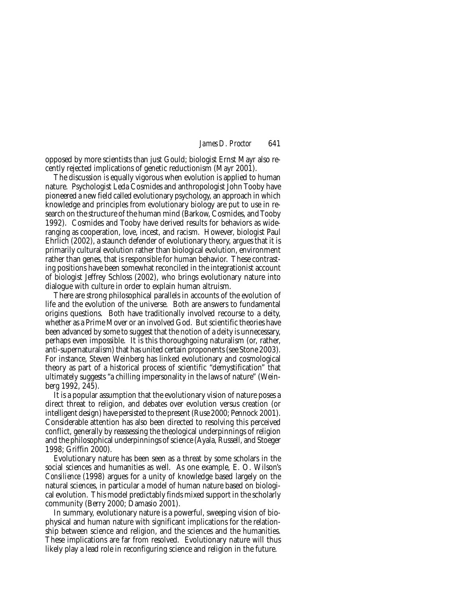opposed by more scientists than just Gould; biologist Ernst Mayr also recently rejected implications of genetic reductionism (Mayr 2001).

The discussion is equally vigorous when evolution is applied to human nature. Psychologist Leda Cosmides and anthropologist John Tooby have pioneered a new field called evolutionary psychology, an approach in which knowledge and principles from evolutionary biology are put to use in research on the structure of the human mind (Barkow, Cosmides, and Tooby 1992). Cosmides and Tooby have derived results for behaviors as wideranging as cooperation, love, incest, and racism. However, biologist Paul Ehrlich (2002), a staunch defender of evolutionary theory, argues that it is primarily cultural evolution rather than biological evolution, environment rather than genes, that is responsible for human behavior. These contrasting positions have been somewhat reconciled in the integrationist account of biologist Jeffrey Schloss (2002), who brings evolutionary nature into dialogue with culture in order to explain human altruism.

There are strong philosophical parallels in accounts of the evolution of life and the evolution of the universe. Both are answers to fundamental origins questions. Both have traditionally involved recourse to a deity, whether as a Prime Mover or an involved God. But scientific theories have been advanced by some to suggest that the notion of a deity is unnecessary, perhaps even impossible. It is this thoroughgoing naturalism (or, rather, anti-supernaturalism) that has united certain proponents (see Stone 2003). For instance, Steven Weinberg has linked evolutionary and cosmological theory as part of a historical process of scientific "demystification" that ultimately suggests "a chilling impersonality in the laws of nature" (Weinberg 1992, 245).

It is a popular assumption that the evolutionary vision of nature poses a direct threat to religion, and debates over evolution versus creation (or intelligent design) have persisted to the present (Ruse 2000; Pennock 2001). Considerable attention has also been directed to resolving this perceived conflict, generally by reassessing the theological underpinnings of religion and the philosophical underpinnings of science (Ayala, Russell, and Stoeger 1998; Griffin 2000).

Evolutionary nature has been seen as a threat by some scholars in the social sciences and humanities as well. As one example, E. O. Wilson's *Consilience* (1998) argues for a unity of knowledge based largely on the natural sciences, in particular a model of human nature based on biological evolution. This model predictably finds mixed support in the scholarly community (Berry 2000; Damasio 2001).

In summary, evolutionary nature is a powerful, sweeping vision of biophysical and human nature with significant implications for the relationship between science and religion, and the sciences and the humanities. These implications are far from resolved. Evolutionary nature will thus likely play a lead role in reconfiguring science and religion in the future.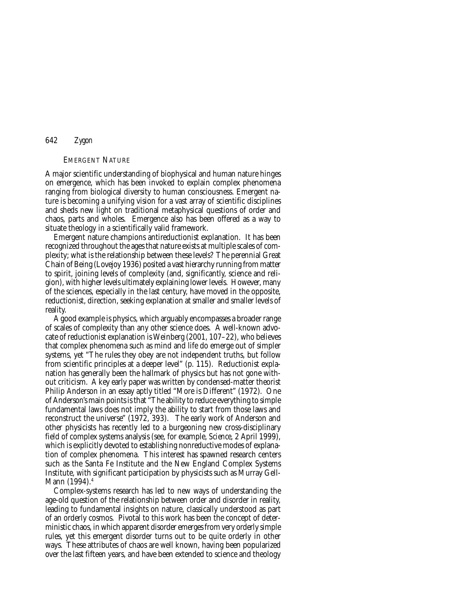### EMERGENT NATURE

A major scientific understanding of biophysical and human nature hinges on emergence, which has been invoked to explain complex phenomena ranging from biological diversity to human consciousness. Emergent nature is becoming a unifying vision for a vast array of scientific disciplines and sheds new light on traditional metaphysical questions of order and chaos, parts and wholes. Emergence also has been offered as a way to situate theology in a scientifically valid framework.

Emergent nature champions antireductionist explanation. It has been recognized throughout the ages that nature exists at multiple scales of complexity; what is the relationship between these levels? The perennial Great Chain of Being (Lovejoy 1936) posited a vast hierarchy running from matter to spirit, joining levels of complexity (and, significantly, science and religion), with higher levels ultimately explaining lower levels. However, many of the sciences, especially in the last century, have moved in the opposite, reductionist, direction, seeking explanation at smaller and smaller levels of reality.

A good example is physics, which arguably encompasses a broader range of scales of complexity than any other science does. A well-known advocate of reductionist explanation is Weinberg (2001, 107–22), who believes that complex phenomena such as mind and life do emerge out of simpler systems, yet "The rules they obey are not independent truths, but follow from scientific principles at a deeper level" (p. 115). Reductionist explanation has generally been the hallmark of physics but has not gone without criticism. A key early paper was written by condensed-matter theorist Philip Anderson in an essay aptly titled "More is Different" (1972). One of Anderson's main points is that "The ability to reduce everything to simple fundamental laws does not imply the ability to start from those laws and reconstruct the universe" (1972, 393). The early work of Anderson and other physicists has recently led to a burgeoning new cross-disciplinary field of complex systems analysis (see, for example, *Science*, 2 April 1999), which is explicitly devoted to establishing nonreductive modes of explanation of complex phenomena. This interest has spawned research centers such as the Santa Fe Institute and the New England Complex Systems Institute, with significant participation by physicists such as Murray Gell-Mann (1994).<sup>4</sup>

Complex-systems research has led to new ways of understanding the age-old question of the relationship between order and disorder in reality, leading to fundamental insights on nature, classically understood as part of an orderly cosmos. Pivotal to this work has been the concept of deterministic chaos, in which apparent disorder emerges from very orderly simple rules, yet this emergent disorder turns out to be quite orderly in other ways. These attributes of chaos are well known, having been popularized over the last fifteen years, and have been extended to science and theology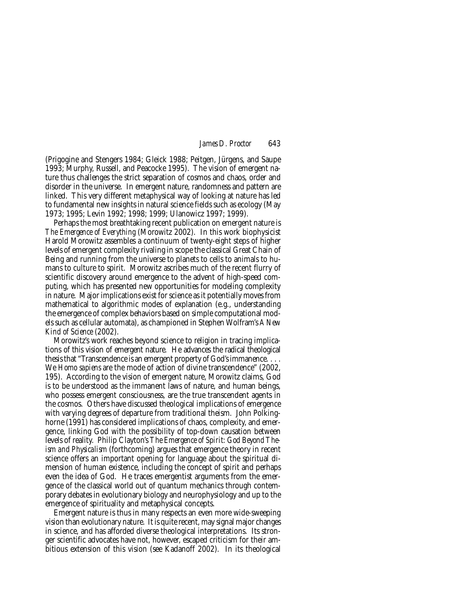(Prigogine and Stengers 1984; Gleick 1988; Peitgen, Jürgens, and Saupe 1993; Murphy, Russell, and Peacocke 1995). The vision of emergent nature thus challenges the strict separation of cosmos and chaos, order and disorder in the universe. In emergent nature, randomness and pattern are linked. This very different metaphysical way of looking at nature has led to fundamental new insights in natural science fields such as ecology (May 1973; 1995; Levin 1992; 1998; 1999; Ulanowicz 1997; 1999).

Perhaps the most breathtaking recent publication on emergent nature is *The Emergence of Everything* (Morowitz 2002). In this work biophysicist Harold Morowitz assembles a continuum of twenty-eight steps of higher levels of emergent complexity rivaling in scope the classical Great Chain of Being and running from the universe to planets to cells to animals to humans to culture to spirit. Morowitz ascribes much of the recent flurry of scientific discovery around emergence to the advent of high-speed computing, which has presented new opportunities for modeling complexity in nature. Major implications exist for science as it potentially moves from mathematical to algorithmic modes of explanation (e.g., understanding the emergence of complex behaviors based on simple computational models such as cellular automata), as championed in Stephen Wolfram's *A New Kind of Science* (2002).

Morowitz's work reaches beyond science to religion in tracing implications of this vision of emergent nature. He advances the radical theological thesis that "Transcendence is an emergent property of God's immanence. . . . We *Homo sapiens* are the mode of action of divine transcendence" (2002, 195). According to the vision of emergent nature, Morowitz claims, God is to be understood as the immanent laws of nature, and human beings, who possess emergent consciousness, are the true transcendent agents in the cosmos. Others have discussed theological implications of emergence with varying degrees of departure from traditional theism. John Polkinghorne (1991) has considered implications of chaos, complexity, and emergence, linking God with the possibility of top-down causation between levels of reality. Philip Clayton's *The Emergence of Spirit: God Beyond Theism and Physicalism* (forthcoming) argues that emergence theory in recent science offers an important opening for language about the spiritual dimension of human existence, including the concept of spirit and perhaps even the idea of God. He traces emergentist arguments from the emergence of the classical world out of quantum mechanics through contemporary debates in evolutionary biology and neurophysiology and up to the emergence of spirituality and metaphysical concepts.

Emergent nature is thus in many respects an even more wide-sweeping vision than evolutionary nature. It is quite recent, may signal major changes in science, and has afforded diverse theological interpretations. Its stronger scientific advocates have not, however, escaped criticism for their ambitious extension of this vision (see Kadanoff 2002). In its theological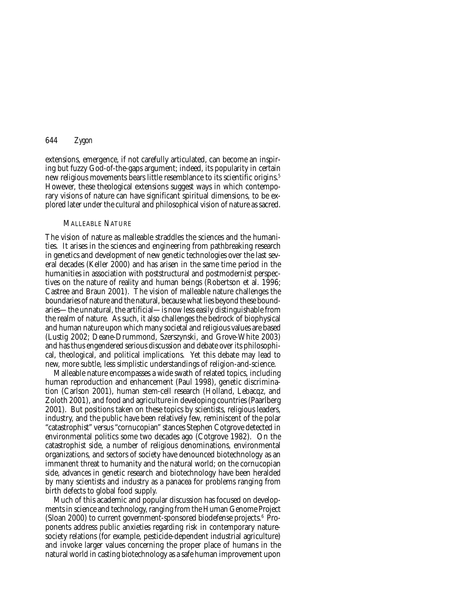extensions, emergence, if not carefully articulated, can become an inspiring but fuzzy God-of-the-gaps argument; indeed, its popularity in certain new religious movements bears little resemblance to its scientific origins.<sup>5</sup> However, these theological extensions suggest ways in which contemporary visions of nature can have significant spiritual dimensions, to be explored later under the cultural and philosophical vision of nature as sacred.

#### MALLEABLE NATURE

The vision of nature as malleable straddles the sciences and the humanities. It arises in the sciences and engineering from pathbreaking research in genetics and development of new genetic technologies over the last several decades (Keller 2000) and has arisen in the same time period in the humanities in association with poststructural and postmodernist perspectives on the nature of reality and human beings (Robertson et al. 1996; Castree and Braun 2001). The vision of malleable nature challenges the boundaries of nature and the natural, because what lies beyond these boundaries—the unnatural, the artificial—is now less easily distinguishable from the realm of nature. As such, it also challenges the bedrock of biophysical and human nature upon which many societal and religious values are based (Lustig 2002; Deane-Drummond, Szerszynski, and Grove-White 2003) and has thus engendered serious discussion and debate over its philosophical, theological, and political implications. Yet this debate may lead to new, more subtle, less simplistic understandings of religion-and-science.

Malleable nature encompasses a wide swath of related topics, including human reproduction and enhancement (Paul 1998), genetic discrimination (Carlson 2001), human stem-cell research (Holland, Lebacqz, and Zoloth 2001), and food and agriculture in developing countries (Paarlberg 2001). But positions taken on these topics by scientists, religious leaders, industry, and the public have been relatively few, reminiscent of the polar "catastrophist" versus "cornucopian" stances Stephen Cotgrove detected in environmental politics some two decades ago (Cotgrove 1982). On the catastrophist side, a number of religious denominations, environmental organizations, and sectors of society have denounced biotechnology as an immanent threat to humanity and the natural world; on the cornucopian side, advances in genetic research and biotechnology have been heralded by many scientists and industry as a panacea for problems ranging from birth defects to global food supply.

Much of this academic and popular discussion has focused on developments in science and technology, ranging from the Human Genome Project (Sloan 2000) to current government-sponsored biodefense projects.6 Proponents address public anxieties regarding risk in contemporary naturesociety relations (for example, pesticide-dependent industrial agriculture) and invoke larger values concerning the proper place of humans in the natural world in casting biotechnology as a safe human improvement upon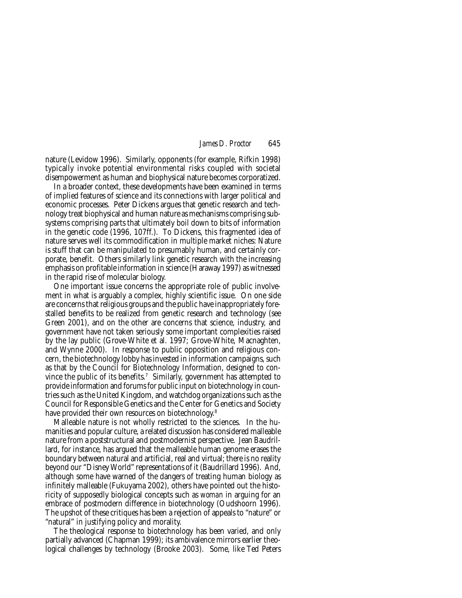nature (Levidow 1996). Similarly, opponents (for example, Rifkin 1998) typically invoke potential environmental risks coupled with societal disempowerment as human and biophysical nature becomes corporatized.

In a broader context, these developments have been examined in terms of implied features of science and its connections with larger political and economic processes. Peter Dickens argues that genetic research and technology treat biophysical and human nature as mechanisms comprising subsystems comprising parts that ultimately boil down to bits of information in the genetic code (1996, 107ff.). To Dickens, this fragmented idea of nature serves well its commodification in multiple market niches: Nature is stuff that can be manipulated to presumably human, and certainly corporate, benefit. Others similarly link genetic research with the increasing emphasis on profitable information in science (Haraway 1997) as witnessed in the rapid rise of molecular biology.

One important issue concerns the appropriate role of public involvement in what is arguably a complex, highly scientific issue. On one side are concerns that religious groups and the public have inappropriately forestalled benefits to be realized from genetic research and technology (see Green 2001), and on the other are concerns that science, industry, and government have not taken seriously some important complexities raised by the lay public (Grove-White et al. 1997; Grove-White, Macnaghten, and Wynne 2000). In response to public opposition and religious concern, the biotechnology lobby has invested in information campaigns, such as that by the Council for Biotechnology Information, designed to convince the public of its benefits. $^7\,$  Similarly, government has attempted to provide information and forums for public input on biotechnology in countries such as the United Kingdom, and watchdog organizations such as the Council for Responsible Genetics and the Center for Genetics and Society have provided their own resources on biotechnology.<sup>8</sup>

Malleable nature is not wholly restricted to the sciences. In the humanities and popular culture, a related discussion has considered malleable nature from a poststructural and postmodernist perspective. Jean Baudrillard, for instance, has argued that the malleable human genome erases the boundary between natural and artificial, real and virtual; there is no reality beyond our "Disney World" representations of it (Baudrillard 1996). And, although some have warned of the dangers of treating human biology as infinitely malleable (Fukuyama 2002), others have pointed out the historicity of supposedly biological concepts such as *woman* in arguing for an embrace of postmodern difference in biotechnology (Oudshoorn 1996). The upshot of these critiques has been a rejection of appeals to "nature" or "natural" in justifying policy and morality.

The theological response to biotechnology has been varied, and only partially advanced (Chapman 1999); its ambivalence mirrors earlier theological challenges by technology (Brooke 2003). Some, like Ted Peters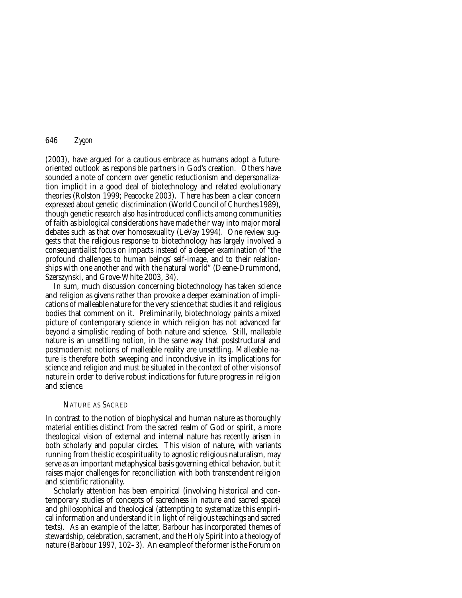(2003), have argued for a cautious embrace as humans adopt a futureoriented outlook as responsible partners in God's creation. Others have sounded a note of concern over genetic reductionism and depersonalization implicit in a good deal of biotechnology and related evolutionary theories (Rolston 1999; Peacocke 2003). There has been a clear concern expressed about genetic discrimination (World Council of Churches 1989), though genetic research also has introduced conflicts among communities of faith as biological considerations have made their way into major moral debates such as that over homosexuality (LeVay 1994). One review suggests that the religious response to biotechnology has largely involved a consequentialist focus on impacts instead of a deeper examination of "the profound challenges to human beings' self-image, and to their relationships with one another and with the natural world" (Deane-Drummond, Szerszynski, and Grove-White 2003, 34).

In sum, much discussion concerning biotechnology has taken science and religion as givens rather than provoke a deeper examination of implications of malleable nature for the very science that studies it and religious bodies that comment on it. Preliminarily, biotechnology paints a mixed picture of contemporary science in which religion has not advanced far beyond a simplistic reading of both nature and science. Still, malleable nature is an unsettling notion, in the same way that poststructural and postmodernist notions of malleable reality are unsettling. Malleable nature is therefore both sweeping and inconclusive in its implications for science and religion and must be situated in the context of other visions of nature in order to derive robust indications for future progress in religion and science.

#### NATURE AS SACRED

In contrast to the notion of biophysical and human nature as thoroughly material entities distinct from the sacred realm of God or spirit, a more theological vision of external and internal nature has recently arisen in both scholarly and popular circles. This vision of nature, with variants running from theistic ecospirituality to agnostic religious naturalism, may serve as an important metaphysical basis governing ethical behavior, but it raises major challenges for reconciliation with both transcendent religion and scientific rationality.

Scholarly attention has been empirical (involving historical and contemporary studies of concepts of sacredness in nature and sacred space) and philosophical and theological (attempting to systematize this empirical information and understand it in light of religious teachings and sacred texts). As an example of the latter, Barbour has incorporated themes of stewardship, celebration, sacrament, and the Holy Spirit into a theology of nature (Barbour 1997, 102–3). An example of the former is the Forum on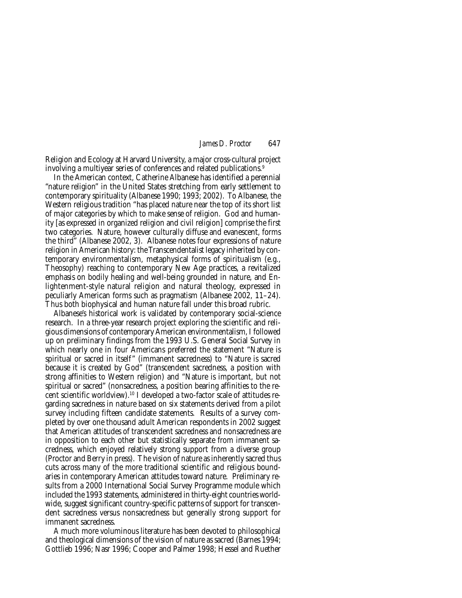Religion and Ecology at Harvard University, a major cross-cultural project involving a multiyear series of conferences and related publications.<sup>9</sup>

In the American context, Catherine Albanese has identified a perennial "nature religion" in the United States stretching from early settlement to contemporary spirituality (Albanese 1990; 1993; 2002). To Albanese, the Western religious tradition "has placed nature near the top of its short list of major categories by which to make sense of religion. God and humanity [as expressed in organized religion and civil religion] comprise the first two categories. Nature, however culturally diffuse and evanescent, forms the third" (Albanese 2002, 3). Albanese notes four expressions of nature religion in American history: the Transcendentalist legacy inherited by contemporary environmentalism, metaphysical forms of spiritualism (e.g., Theosophy) reaching to contemporary New Age practices, a revitalized emphasis on bodily healing and well-being grounded in nature, and Enlightenment-style natural religion and natural theology, expressed in peculiarly American forms such as pragmatism (Albanese 2002, 11–24). Thus both biophysical and human nature fall under this broad rubric.

Albanese's historical work is validated by contemporary social-science research. In a three-year research project exploring the scientific and religious dimensions of contemporary American environmentalism, I followed up on preliminary findings from the 1993 U.S. General Social Survey in which nearly one in four Americans preferred the statement "Nature is spiritual or sacred in itself" (immanent sacredness) to "Nature is sacred because it is created by God" (transcendent sacredness, a position with strong affinities to Western religion) and "Nature is important, but not spiritual or sacred" (nonsacredness, a position bearing affinities to the recent scientific worldview).10 I developed a two-factor scale of attitudes regarding sacredness in nature based on six statements derived from a pilot survey including fifteen candidate statements. Results of a survey completed by over one thousand adult American respondents in 2002 suggest that American attitudes of transcendent sacredness and nonsacredness are in opposition to each other but statistically separate from immanent sacredness, which enjoyed relatively strong support from a diverse group (Proctor and Berry in press). The vision of nature as inherently sacred thus cuts across many of the more traditional scientific and religious boundaries in contemporary American attitudes toward nature. Preliminary results from a 2000 International Social Survey Programme module which included the 1993 statements, administered in thirty-eight countries worldwide, suggest significant country-specific patterns of support for transcendent sacredness versus nonsacredness but generally strong support for immanent sacredness.

A much more voluminous literature has been devoted to philosophical and theological dimensions of the vision of nature as sacred (Barnes 1994; Gottlieb 1996; Nasr 1996; Cooper and Palmer 1998; Hessel and Ruether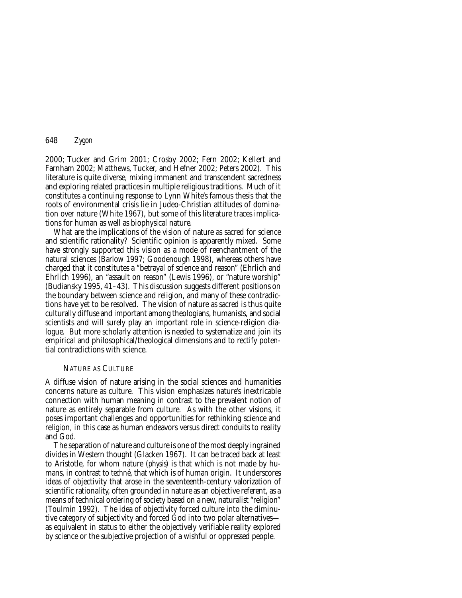2000; Tucker and Grim 2001; Crosby 2002; Fern 2002; Kellert and Farnham 2002; Matthews, Tucker, and Hefner 2002; Peters 2002). This literature is quite diverse, mixing immanent and transcendent sacredness and exploring related practices in multiple religious traditions. Much of it constitutes a continuing response to Lynn White's famous thesis that the roots of environmental crisis lie in Judeo-Christian attitudes of domination over nature (White 1967), but some of this literature traces implications for human as well as biophysical nature.

What are the implications of the vision of nature as sacred for science and scientific rationality? Scientific opinion is apparently mixed. Some have strongly supported this vision as a mode of reenchantment of the natural sciences (Barlow 1997; Goodenough 1998), whereas others have charged that it constitutes a "betrayal of science and reason" (Ehrlich and Ehrlich 1996), an "assault on reason" (Lewis 1996), or "nature worship" (Budiansky 1995, 41–43). This discussion suggests different positions on the boundary between science and religion, and many of these contradictions have yet to be resolved. The vision of nature as sacred is thus quite culturally diffuse and important among theologians, humanists, and social scientists and will surely play an important role in science-religion dialogue. But more scholarly attention is needed to systematize and join its empirical and philosophical/theological dimensions and to rectify potential contradictions with science.

#### NATURE AS CULTURE

A diffuse vision of nature arising in the social sciences and humanities concerns nature as culture. This vision emphasizes nature's inextricable connection with human meaning in contrast to the prevalent notion of nature as entirely separable from culture. As with the other visions, it poses important challenges and opportunities for rethinking science and religion, in this case as human endeavors versus direct conduits to reality and God.

The separation of nature and culture is one of the most deeply ingrained divides in Western thought (Glacken 1967). It can be traced back at least to Aristotle, for whom nature (*physis*) is that which is not made by humans, in contrast to *techné*, that which is of human origin. It underscores ideas of objectivity that arose in the seventeenth-century valorization of scientific rationality, often grounded in nature as an objective referent, as a means of technical ordering of society based on a new, naturalist "religion" (Toulmin 1992). The idea of objectivity forced culture into the diminutive category of subjectivity and forced God into two polar alternatives as equivalent in status to either the objectively verifiable reality explored by science or the subjective projection of a wishful or oppressed people.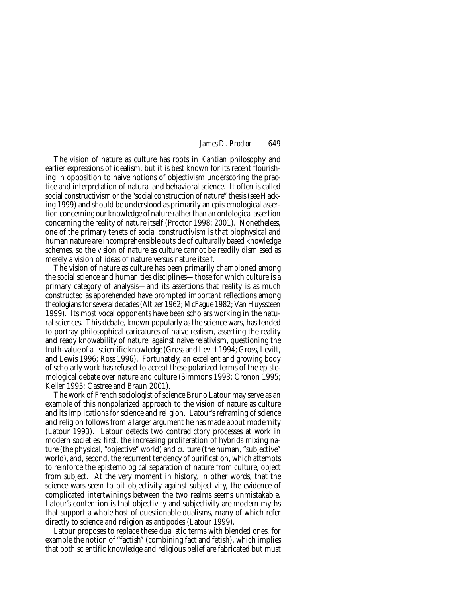The vision of nature as culture has roots in Kantian philosophy and earlier expressions of idealism, but it is best known for its recent flourishing in opposition to naive notions of objectivism underscoring the practice and interpretation of natural and behavioral science. It often is called social constructivism or the "social construction of nature" thesis (see Hacking 1999) and should be understood as primarily an epistemological assertion concerning our knowledge of nature rather than an ontological assertion concerning the reality of nature itself (Proctor 1998; 2001). Nonetheless, one of the primary tenets of social constructivism is that biophysical and human nature are incomprehensible outside of culturally based knowledge schemes, so the vision of nature as culture cannot be readily dismissed as merely a vision of ideas of nature versus nature itself.

The vision of nature as culture has been primarily championed among the social science and humanities disciplines—those for which culture is a primary category of analysis—and its assertions that reality is as much constructed as apprehended have prompted important reflections among theologians for several decades (Altizer 1962; McFague 1982; Van Huyssteen 1999). Its most vocal opponents have been scholars working in the natural sciences. This debate, known popularly as the science wars, has tended to portray philosophical caricatures of naive realism, asserting the reality and ready knowability of nature, against naive relativism, questioning the truth-value of all scientific knowledge (Gross and Levitt 1994; Gross, Levitt, and Lewis 1996; Ross 1996). Fortunately, an excellent and growing body of scholarly work has refused to accept these polarized terms of the epistemological debate over nature and culture (Simmons 1993; Cronon 1995; Keller 1995; Castree and Braun 2001).

The work of French sociologist of science Bruno Latour may serve as an example of this nonpolarized approach to the vision of nature as culture and its implications for science and religion. Latour's reframing of science and religion follows from a larger argument he has made about modernity (Latour 1993). Latour detects two contradictory processes at work in modern societies: first, the increasing proliferation of hybrids mixing nature (the physical, "objective" world) and culture (the human, "subjective" world), and, second, the recurrent tendency of purification, which attempts to reinforce the epistemological separation of nature from culture, object from subject. At the very moment in history, in other words, that the science wars seem to pit objectivity against subjectivity, the evidence of complicated intertwinings between the two realms seems unmistakable. Latour's contention is that objectivity and subjectivity are modern myths that support a whole host of questionable dualisms, many of which refer directly to science and religion as antipodes (Latour 1999).

Latour proposes to replace these dualistic terms with blended ones, for example the notion of "factish" (combining fact and fetish), which implies that both scientific knowledge and religious belief are fabricated but must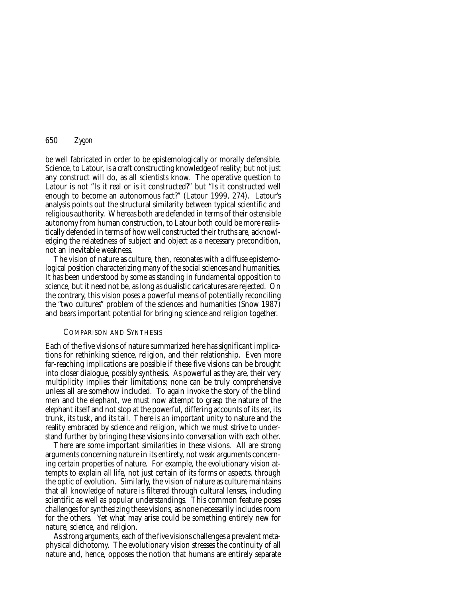be well fabricated in order to be epistemologically or morally defensible. Science, to Latour, is a craft constructing knowledge of reality; but not just any construct will do, as all scientists know. The operative question to Latour is not "Is it real or is it constructed?" but "Is it constructed well enough to become an autonomous fact?" (Latour 1999, 274). Latour's analysis points out the structural similarity between typical scientific and religious authority. Whereas both are defended in terms of their ostensible autonomy from human construction, to Latour both could be more realistically defended in terms of how well constructed their truths are, acknowledging the relatedness of subject and object as a necessary precondition, not an inevitable weakness.

The vision of nature as culture, then, resonates with a diffuse epistemological position characterizing many of the social sciences and humanities. It has been understood by some as standing in fundamental opposition to science, but it need not be, as long as dualistic caricatures are rejected. On the contrary, this vision poses a powerful means of potentially reconciling the "two cultures" problem of the sciences and humanities (Snow 1987) and bears important potential for bringing science and religion together.

### COMPARISON AND SYNTHESIS

Each of the five visions of nature summarized here has significant implications for rethinking science, religion, and their relationship. Even more far-reaching implications are possible if these five visions can be brought into closer dialogue, possibly synthesis. As powerful as they are, their very multiplicity implies their limitations; none can be truly comprehensive unless all are somehow included. To again invoke the story of the blind men and the elephant, we must now attempt to grasp the nature of the elephant itself and not stop at the powerful, differing accounts of its ear, its trunk, its tusk, and its tail. There is an important unity to nature and the reality embraced by science and religion, which we must strive to understand further by bringing these visions into conversation with each other.

There are some important similarities in these visions. All are strong arguments concerning nature in its entirety, not weak arguments concerning certain properties of nature. For example, the evolutionary vision attempts to explain all life, not just certain of its forms or aspects, through the optic of evolution. Similarly, the vision of nature as culture maintains that all knowledge of nature is filtered through cultural lenses, including scientific as well as popular understandings. This common feature poses challenges for synthesizing these visions, as none necessarily includes room for the others. Yet what may arise could be something entirely new for nature, science, and religion.

As strong arguments, each of the five visions challenges a prevalent metaphysical dichotomy. The evolutionary vision stresses the continuity of all nature and, hence, opposes the notion that humans are entirely separate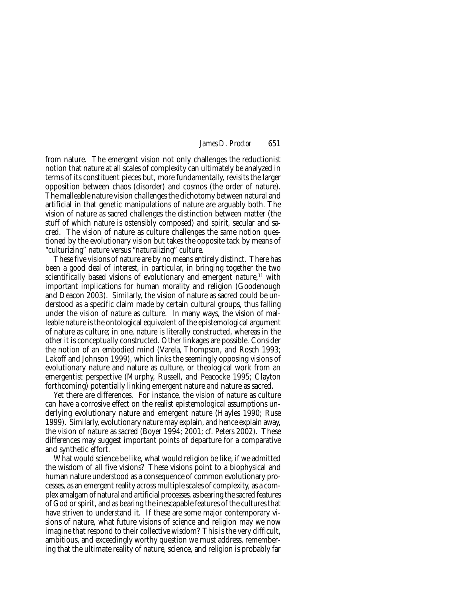from nature. The emergent vision not only challenges the reductionist notion that nature at all scales of complexity can ultimately be analyzed in terms of its constituent pieces but, more fundamentally, revisits the larger opposition between chaos (disorder) and cosmos (the order of nature). The malleable nature vision challenges the dichotomy between natural and artificial in that genetic manipulations of nature are arguably both. The vision of nature as sacred challenges the distinction between matter (the stuff of which nature is ostensibly composed) and spirit, secular and sacred. The vision of nature as culture challenges the same notion questioned by the evolutionary vision but takes the opposite tack by means of "culturizing" nature versus "naturalizing" culture.

These five visions of nature are by no means entirely distinct. There has been a good deal of interest, in particular, in bringing together the two scientifically based visions of evolutionary and emergent nature, $11$  with important implications for human morality and religion (Goodenough and Deacon 2003). Similarly, the vision of nature as sacred could be understood as a specific claim made by certain cultural groups, thus falling under the vision of nature as culture. In many ways, the vision of malleable nature is the ontological equivalent of the epistemological argument of nature as culture; in one, nature is literally constructed, whereas in the other it is conceptually constructed. Other linkages are possible. Consider the notion of an embodied mind (Varela, Thompson, and Rosch 1993; Lakoff and Johnson 1999), which links the seemingly opposing visions of evolutionary nature and nature as culture, or theological work from an emergentist perspective (Murphy, Russell, and Peacocke 1995; Clayton forthcoming) potentially linking emergent nature and nature as sacred.

Yet there are differences. For instance, the vision of nature as culture can have a corrosive effect on the realist epistemological assumptions underlying evolutionary nature and emergent nature (Hayles 1990; Ruse 1999). Similarly, evolutionary nature may explain, and hence explain away, the vision of nature as sacred (Boyer 1994; 2001; cf. Peters 2002). These differences may suggest important points of departure for a comparative and synthetic effort.

What would science be like, what would religion be like, if we admitted the wisdom of all five visions? These visions point to a biophysical and human nature understood as a consequence of common evolutionary processes, as an emergent reality across multiple scales of complexity, as a complex amalgam of natural and artificial processes, as bearing the sacred features of God or spirit, and as bearing the inescapable features of the cultures that have striven to understand it. If these are some major contemporary visions of nature, what future visions of science and religion may we now imagine that respond to their collective wisdom? This is the very difficult, ambitious, and exceedingly worthy question we must address, remembering that the ultimate reality of nature, science, and religion is probably far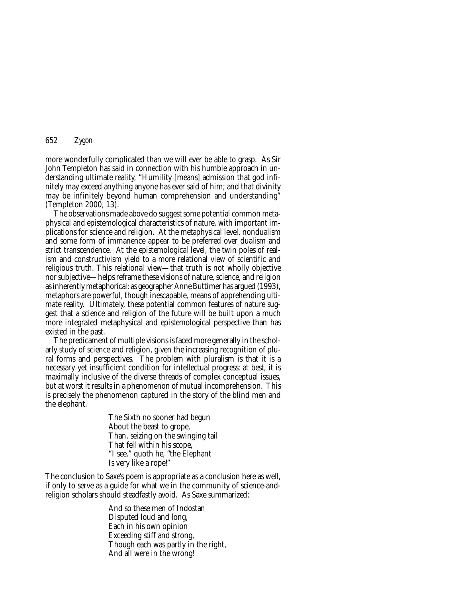more wonderfully complicated than we will ever be able to grasp. As Sir John Templeton has said in connection with his humble approach in understanding ultimate reality, "Humility [means] admission that god infinitely may exceed anything anyone has ever said of him; and that divinity may be infinitely beyond human comprehension and understanding" (Templeton 2000, 13).

The observations made above do suggest some potential common metaphysical and epistemological characteristics of nature, with important implications for science and religion. At the metaphysical level, nondualism and some form of immanence appear to be preferred over dualism and strict transcendence. At the epistemological level, the twin poles of realism and constructivism yield to a more relational view of scientific and religious truth. This relational view—that truth is not wholly objective nor subjective—helps reframe these visions of nature, science, and religion as inherently metaphorical: as geographer Anne Buttimer has argued (1993), metaphors are powerful, though inescapable, means of apprehending ultimate reality. Ultimately, these potential common features of nature suggest that a science and religion of the future will be built upon a much more integrated metaphysical and epistemological perspective than has existed in the past.

The predicament of multiple visions is faced more generally in the scholarly study of science and religion, given the increasing recognition of plural forms and perspectives. The problem with pluralism is that it is a necessary yet insufficient condition for intellectual progress: at best, it is maximally inclusive of the diverse threads of complex conceptual issues, but at worst it results in a phenomenon of mutual incomprehension. This is precisely the phenomenon captured in the story of the blind men and the elephant.

> The Sixth no sooner had begun About the beast to grope, Than, seizing on the swinging tail That fell within his scope, "I see," quoth he, "the Elephant Is very like a rope!"

The conclusion to Saxe's poem is appropriate as a conclusion here as well, if only to serve as a guide for what we in the community of science-andreligion scholars should steadfastly avoid. As Saxe summarized:

> And so these men of Indostan Disputed loud and long, Each in his own opinion Exceeding stiff and strong, Though each was partly in the right, And all were in the wrong!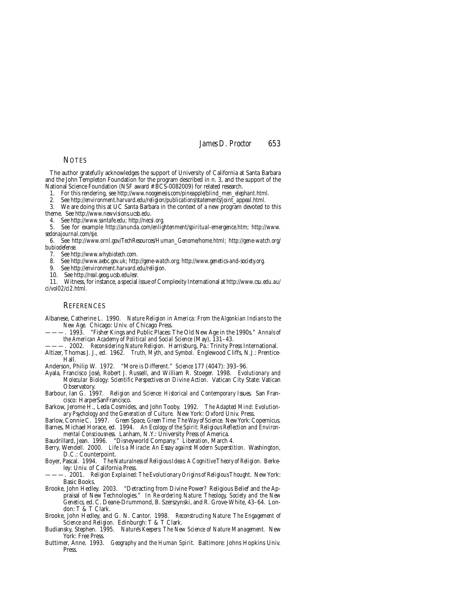**NOTES** 

The author gratefully acknowledges the support of University of California at Santa Barbara and the John Templeton Foundation for the program described in n. 3, and the support of the National Science Foundation (NSF award # BCS-0082009) for related research.

- 1. For this rendering, see *http://www.noogenesis.com/pineapple/blind\_men\_elephant.html.* 2. See *http://environment.harvard.edu/religion/publications/statements/joint\_appeal.html.*
- We are doing this at UC Santa Barbara in the context of a new program devoted to this

theme. See *http://www.newvisions.ucsb.edu*.

4. See *http://www.santafe.edu; http://necsi.org.*

5. See for example *http://anunda.com/enlightenment/spiritual-emergence.htm; http://www. sedonajournal.com/sje.*

6. See *http://www.ornl.gov/TechResources/Human\_Genome/home.html; http://gene-watch.org/ bubiodefense.*

7. See *http://www.whybiotech.com.*

- 8. See *http://www.aebc.gov.uk; http://gene-watch.org; http://www.genetics-and-society.org.*
- 9. See *http://environment.harvard.edu/religion.*
- 10. See *http://real.geog.ucsb.edu/esr.*

11. Witness, for instance, a special issue of Complexity International at *http://www.csu.edu.au/ ci/vol02/ci2.html.*

#### **REFERENCES**

- Albanese, Catherine L. 1990. *Nature Religion in America: From the Algonkian Indians to the New Age*. Chicago: Univ. of Chicago Press.
- ———. 1993. "Fisher Kings and Public Places: The Old New Age in the 1990s." *Annals of* the American Academy of Political and Social Science (May), 131-43.
- ———. 2002. *Reconsidering Nature Religion*. Harrisburg, Pa.: Trinity Press International. Altizer, Thomas J. J., ed. 1962. *Truth, Myth, and Symbol*. Englewood Cliffs, N.J.: Prentice-
- Hall.
- Anderson, Philip W. 1972. "More is Different." *Science* 177 (4047): 393–96.
- Ayala, Francisco José, Robert J. Russell, and William R. Stoeger. 1998. *Evolutionary and Molecular Biology: Scientific Perspectives on Divine Action*. Vatican City State: Vatican Observatory.
- Barbour, Ian G. 1997. *Religion and Science: Historical and Contemporary Issues*. San Francisco: HarperSanFrancisco.
- Barkow, Jerome H., Leda Cosmides, and John Tooby. 1992. *The Adapted Mind: Evolutionary Psychology and the Generation of Culture*. New York: Oxford Univ. Press.

Barlow, Connie C. 1997. *Green Space, Green Time: The Way of Science*. New York: Copernicus. Barnes, Michael Horace, ed. 1994. *An Ecology of the Spirit: Religious Reflection and Environ-*

*mental Consciousness*. Lanham, N.Y.: University Press of America.

Baudrillard, Jean. 1996. "Disneyworld Company." *Liberation*, March 4.

Berry, Wendell. 2000. *Life Is a Miracle: An Essay against Modern Superstition*. Washington, D.C.: Counterpoint.

Boyer, Pascal. 1994. *The Naturalness of Religious Ideas: A Cognitive Theory of Religion*. Berkeley: Univ. of California Press.

- ———. 2001. *Religion Explained: The Evolutionary Origins of Religious Thought*. New York: Basic Books.
- Brooke, John Hedley. 2003. "Detracting from Divine Power? Religious Belief and the Appraisal of New Technologies." In *Re-ordering Nature: Theology, Society and the New Genetics*, ed. C. Deane-Drummond, B. Szerszynski, and R. Grove-White, 43–64. London: T & T Clark.

Brooke, John Hedley, and G. N. Cantor. 1998. *Reconstructing Nature: The Engagement of Science and Religion*. Edinburgh: T & T Clark.

- Budiansky, Stephen. 1995. *Nature's Keepers: The New Science of Nature Management*. New York: Free Press.
- Buttimer, Anne. 1993. *Geography and the Human Spirit*. Baltimore: Johns Hopkins Univ. Press.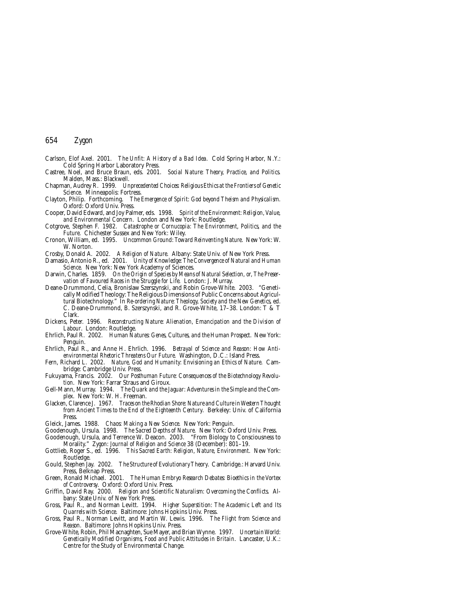- Carlson, Elof Axel. 2001. *The Unfit: A History of a Bad Idea*. Cold Spring Harbor, N.Y.: Cold Spring Harbor Laboratory Press.
- Castree, Noel, and Bruce Braun, eds. 2001. *Social Nature: Theory, Practice, and Politics*. Malden, Mass.: Blackwell.
- Chapman, Audrey R. 1999. *Unprecedented Choices: Religious Ethics at the Frontiers of Genetic Science*. Minneapolis: Fortress.
- Clayton, Philip. Forthcoming. *The Emergence of Spirit: God beyond Theism and Physicalism.* Oxford: Oxford Univ. Press.
- Cooper, David Edward, and Joy Palmer, eds. 1998. *Spirit of the Environment: Religion, Value, and Environmental Concern*. London and New York: Routledge.
- Cotgrove, Stephen F. 1982. *Catastrophe or Cornucopia: The Environment, Politics, and the Future*. Chichester Sussex and New York: Wiley.
- Cronon, William, ed. 1995. *Uncommon Ground: Toward Reinventing Nature*. New York: W. W. Norton.
- Crosby, Donald A. 2002. *A Religion of Nature*. Albany: State Univ. of New York Press.

Damasio, Antonio R., ed. 2001. *Unity of Knowledge: The Convergence of Natural and Human Science*. New York: New York Academy of Sciences.

- Darwin, Charles. 1859. *On the Origin of Species by Means of Natural Selection, or, The Preservation of Favoured Races in the Struggle for Life*. London: J. Murray.
- Deane-Drummond, Celia, Bronislaw Szerszynski, and Robin Grove-White. 2003. "Genetically Modified Theology: The Religious Dimensions of Public Concerns about Agricultural Biotechnology." In *Re-ordering Nature: Theology, Society and the New Genetics*, ed. C. Deane-Drummond, B. Szerszynski, and R. Grove-White, 17–38. London: T & T Clark.
- Dickens, Peter. 1996. *Reconstructing Nature: Alienation, Emancipation and the Division of Labour*. London: Routledge.
- Ehrlich, Paul R. 2002. *Human Natures: Genes, Cultures, and the Human Prospect*. New York: Penguin.
- Ehrlich, Paul R., and Anne H. Ehrlich. 1996. *Betrayal of Science and Reason: How Antienvironmental Rhetoric Threatens Our Future*. Washington, D.C.: Island Press.
- Fern, Richard L. 2002. *Nature, God and Humanity: Envisioning an Ethics of Nature*. Cambridge: Cambridge Univ. Press.
- Fukuyama, Francis. 2002. *Our Posthuman Future: Consequences of the Biotechnology Revolution*. New York: Farrar Straus and Giroux.
- Gell-Mann, Murray. 1994. *The Quark and the Jaguar: Adventures in the Simple and the Complex*. New York: W. H. Freeman.
- Glacken, Clarence J. 1967. *Traces on the Rhodian Shore: Nature and Culture in Western Thought from Ancient Times to the End of the Eighteenth Century*. Berkeley: Univ. of California Press.

Gleick, James. 1988. *Chaos: Making a New Science*. New York: Penguin.

- Goodenough, Ursula. 1998. *The Sacred Depths of Nature*. New York: Oxford Univ. Press.
- Goodenough, Ursula, and Terrence W. Deacon. 2003. "From Biology to Consciousness to Morality." *Zygon: Journal of Religion and Science* 38 (December): 801–19.
- Gottlieb, Roger S., ed. 1996. *This Sacred Earth: Religion, Nature, Environment*. New York: Routledge.
- Gould, Stephen Jay. 2002. *The Structure of Evolutionary Theory*. Cambridge.: Harvard Univ. Press, Belknap Press.
- Green, Ronald Michael. 2001. *The Human Embryo Research Debates: Bioethics in the Vortex of Controversy*. Oxford: Oxford Univ. Press.
- Griffin, David Ray. 2000. *Religion and Scientific Naturalism: Overcoming the Conflicts*. Albany: State Univ. of New York Press.<br>Gross, Paul R., and Norman Levitt. 1994.
- Higher Superstition: The Academic Left and Its *Quarrels with Science*. Baltimore: Johns Hopkins Univ. Press.
- Gross, Paul R., Norman Levitt, and Martin W. Lewis. 1996. *The Flight from Science and Reason*. Baltimore: Johns Hopkins Univ. Press.
- Grove-White, Robin, Phil Macnaghten, Sue Mayer, and Brian Wynne. 1997. *Uncertain World: Genetically Modified Organisms, Food and Public Attitudes in Britain*. Lancaster, U.K.: Centre for the Study of Environmental Change.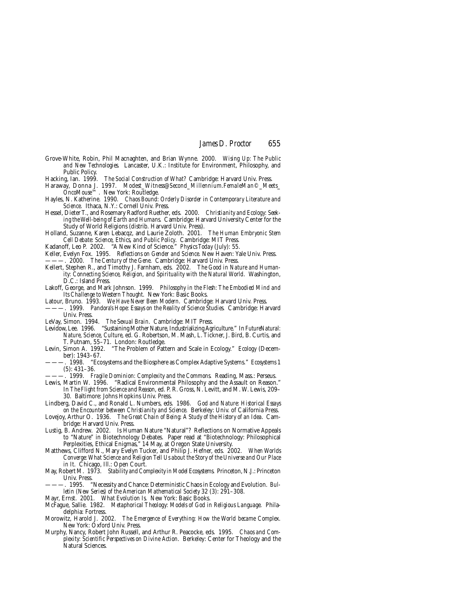- Grove-White, Robin, Phil Macnaghten, and Brian Wynne. 2000. *Wising Up: The Public and New Technologies*. Lancaster, U.K.: Institute for Environment, Philosophy, and Public Policy.<br>Hacking, Ian. 1999.
- The Social Construction of What? Cambridge: Harvard Univ. Press.
- Haraway, Donna J. 1997. *Modest\_Witness@Second\_Millennium.FemaleMan©\_Meets\_ OncoMouse™*. New York: Routledge.
- Hayles, N. Katherine. 1990. *Chaos Bound: Orderly Disorder in Contemporary Literature and Science*. Ithaca, N.Y.: Cornell Univ. Press.
- Hessel, Dieter T., and Rosemary Radford Ruether, eds. 2000. *Christianity and Ecology: Seeking the Well-being of Earth and Humans*. Cambridge: Harvard University Center for the Study of World Religions (distrib. Harvard Univ. Press).
- Holland, Suzanne, Karen Lebacqz, and Laurie Zoloth. 2001. *The Human Embryonic Stem Cell Debate: Science, Ethics, and Public Policy*. Cambridge: MIT Press.

Kadanoff, Leo P. 2002. "A New Kind of Science." *Physics Today* (July): 55.

- Keller, Evelyn Fox. 1995. *Reflections on Gender and Science*. New Haven: Yale Univ. Press. ———. 2000. *The Century of the Gene*. Cambridge: Harvard Univ. Press.
- Kellert, Stephen R., and Timothy J. Farnham, eds. 2002. *The Good in Nature and Humanity: Connecting Science, Religion, and Spirituality with the Natural World*. Washington, D.C.: Island Press.
- Lakoff, George, and Mark Johnson. 1999. *Philosophy in the Flesh: The Embodied Mind and Its Challenge to Western Thought*. New York: Basic Books.
- Latour, Bruno. 1993. *We Have Never Been Modern*. Cambridge: Harvard Univ. Press. ———. 1999. *Pandora's Hope: Essays on the Reality of Science Studies*. Cambridge: Harvard
- Univ. Press.<br>LeVay, Simon. 1994. The Sexual Brain. Cambridge: MIT Press.
- Levidow, Lee. 1996. "Sustaining Mother Nature, Industrializing Agriculture." In *FutureNatural: Nature, Science, Culture*, ed. G. Robertson, M. Mash, L. Tickner, J. Bird, B. Curtis, and T. Putnam, 55–71. London: Routledge.
- Levin, Simon A. 1992. "The Problem of Pattern and Scale in Ecology." *Ecology* (December): 1943–67.
- ———. 1998. "Ecosystems and the Biosphere as Complex Adaptive Systems." *Ecosystems* 1 (5): 431–36.
- ———. 1999. *Fragile Dominion: Complexity and the Commons*. Reading, Mass.: Perseus.
- Lewis, Martin W. 1996. "Radical Environmental Philosophy and the Assault on Reason." In *The Flight from Science and Reason*, ed. P. R. Gross, N. Levitt, and M. W. Lewis, 209– 30. Baltimore: Johns Hopkins Univ. Press.
- Lindberg, David C., and Ronald L. Numbers, eds. 1986. *God and Nature: Historical Essays on the Encounter between Christianity and Science*. Berkeley: Univ. of California Press.
- Lovejoy, Arthur O. 1936. *The Great Chain of Being: A Study of the History of an Idea*. Cambridge: Harvard Univ. Press.
- Lustig, B. Andrew. 2002. Is Human Nature "Natural"? Reflections on Normative Appeals to "Nature" in Biotechnology Debates. Paper read at "Biotechnology: Philosophical Perplexities, Ethical Enigmas," 14 May, at Oregon State University.
- Matthews, Clifford N., Mary Evelyn Tucker, and Philip J. Hefner, eds. 2002. *When Worlds Converge: What Science and Religion Tell Us about the Story of the Universe and Our Place in It.* Chicago, Ill.: Open Court.
- May, Robert M. 1973. *Stability and Complexity in Model Ecosystems*. Princeton, N.J.: Princeton Univ. Press.

1995. "Necessity and Chance: Deterministic Chaos in Ecology and Evolution. Bul*letin (New Series) of the American Mathematical Society* 32 (3): 291–308.

- Mayr, Ernst. 2001. *What Evolution Is*. New York: Basic Books.
- McFague, Sallie. 1982. *Metaphorical Theology: Models of God in Religious Language*. Philadelphia: Fortress.
- Morowitz, Harold J. 2002. *The Emergence of Everything: How the World became Complex*. New York: Oxford Univ. Press.
- Murphy, Nancy, Robert John Russell, and Arthur R. Peacocke, eds. 1995. *Chaos and Complexity: Scientific Perspectives on Divine Action*. Berkeley: Center for Theology and the Natural Sciences.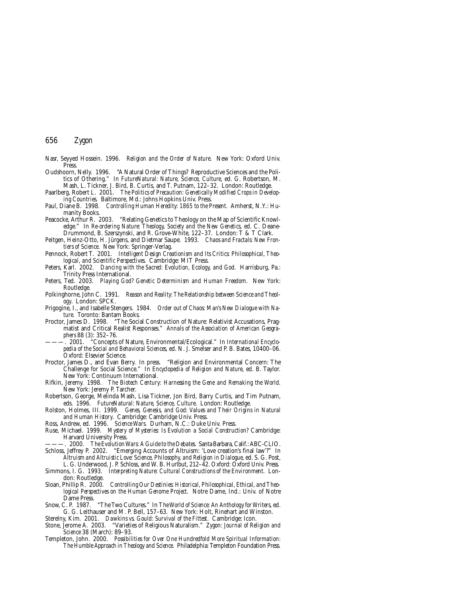- Nasr, Seyyed Hossein. 1996. *Religion and the Order of Nature*. New York: Oxford Univ. Press.
- Oudshoorn, Nelly. 1996. "A Natural Order of Things? Reproductive Sciences and the Politics of Othering." In *FutureNatural: Nature, Science, Culture*, ed. G. Robertson, M. Mash, L. Tickner, J. Bird, B. Curtis, and T. Putnam, 122–32. London: Routledge.
- Paarlberg, Robert L. 2001. *The Politics of Precaution: Genetically Modified Crops in Developing Countries*. Baltimore, Md.: Johns Hopkins Univ. Press.
- Paul, Diane B. 1998. *Controlling Human Heredity: 1865 to the Present*. Amherst, N.Y.: Humanity Books.
- Peacocke, Arthur R. 2003. "Relating Genetics to Theology on the Map of Scientific Knowledge." In *Re-ordering Nature: Theology, Society and the New Genetics*, ed. C. Deane-Drummond, B. Szerszynski, and R. Grove-White, 122–37. London: T & T Clark.
- Peitgen, Heinz-Otto, H. Jürgens, and Dietmar Saupe. 1993. *Chaos and Fractals: New Frontiers of Science*. New York: Springer-Verlag.
- Pennock, Robert T. 2001. *Intelligent Design Creationism and Its Critics: Philosophical, Theological, and Scientific Perspectives*. Cambridge: MIT Press.
- Peters, Karl. 2002. *Dancing with the Sacred: Evolution, Ecology, and God*. Harrisburg, Pa.: Trinity Press International.
- Peters, Ted. 2003. *Playing God? Genetic Determinism and Human Freedom*. New York: Routledge.
- Polkinghorne, John C. 1991. *Reason and Reality: The Relationship between Science and Theology*. London: SPCK.
- Prigogine, I., and Isabelle Stengers. 1984. *Order out of Chaos: Man's New Dialogue with Nature*. Toronto: Bantam Books.
- Proctor, James D. 1998. "The Social Construction of Nature: Relativist Accusations, Pragmatist and Critical Realist Responses." *Annals of the Association of American Geographers* 88 (3): 352–76.<br>-. 2001. "Concepts
- ———. 2001. "Concepts of Nature, Environmental/Ecological." In *International Encyclopedia of the Social and Behavioral Sciences*, ed. N. J. Smelser and P. B. Bates, 10400–06. Oxford: Elsevier Science.
- Proctor, James D., and Evan Berry. In press. "Religion and Environmental Concern: The Challenge for Social Science." In *Encyclopedia of Religion and Nature*, ed. B. Taylor. New York: Continuum International.
- Rifkin, Jeremy. 1998. *The Biotech Century: Harnessing the Gene and Remaking the World*. New York: Jeremy P. Tarcher.
- Robertson, George, Melinda Mash, Lisa Tickner, Jon Bird, Barry Curtis, and Tim Putnam, eds. 1996. *FutureNatural: Nature, Science, Culture*. London: Routledge.
- Rolston, Holmes, III. 1999. *Genes, Genesis, and God: Values and Their Origins in Natural and Human History*. Cambridge: Cambridge Univ. Press.
- Ross, Andrew, ed. 1996. *Science Wars*. Durham, N.C.: Duke Univ. Press.
- Ruse, Michael. 1999. *Mystery of Mysteries: Is Evolution a Social Construction?* Cambridge: Harvard University Press.
- ———. 2000. *The Evolution Wars: A Guide to the Debates*. Santa Barbara, Calif.: ABC-CLIO. Schloss, Jeffrey P. 2002. "Emerging Accounts of Altruism: 'Love creation's final law'?" In *Altruism and Altruistic Love: Science, Philosophy, and Religion in Dialogue*, ed. S. G. Post,
- L. G. Underwood, J. P. Schloss, and W. B. Hurlbut, 212–42. Oxford: Oxford Univ. Press. Simmons, I. G. 1993. *Interpreting Nature: Cultural Constructions of the Environment*. Lon-
- don: Routledge. Sloan, Phillip R. 2000. Controlling Our Destinies: Historical, Philosophical, Ethical, and Theo-
- *logical Perspectives on the Human Genome Project*. Notre Dame, Ind.: Univ. of Notre Dame Press.
- Snow, C. P. 1987. "The Two Cultures." In *The World of Science: An Anthology for Writers*, ed. G. G. Leithauser and M. P. Bell, 157–63. New York: Holt, Rinehart and Winston.
- Sterelny, Kim. 2001. *Dawkins vs. Gould: Survival of the Fittest*. Cambridge: Icon.
- Stone, Jerome A. 2003. "Varieties of Religious Naturalism." *Zygon: Journal of Religion and Science* 38 (March): 89–93.
- Templeton, John. 2000. *Possibilities for Over One Hundredfold More Spiritual Information: The Humble Approach in Theology and Science*. Philadelphia: Templeton Foundation Press.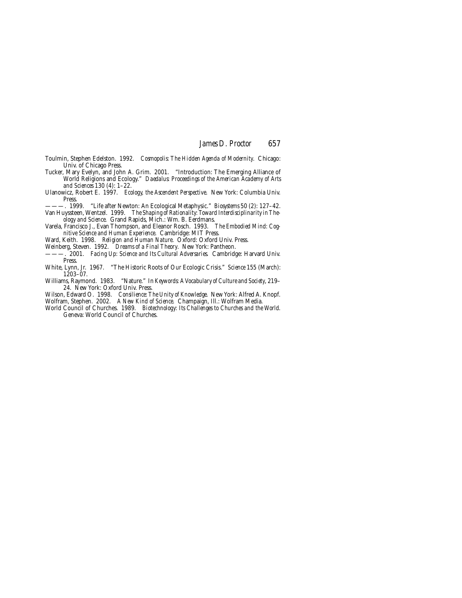- Toulmin, Stephen Edelston. 1992. *Cosmopolis: The Hidden Agenda of Modernity*. Chicago: Univ. of Chicago Press.
- Tucker, Mary Evelyn, and John A. Grim. 2001. "Introduction: The Emerging Alliance of World Religions and Ecology." *Daedalus: Proceedings of the American Academy of Arts and Sciences* 130 (4): 1–22.
- Ulanowicz, Robert E. 1997. *Ecology, the Ascendent Perspective*. New York: Columbia Univ. Press.<br>-. 1999.

———. 1999. "Life after Newton: An Ecological Metaphysic." *Biosystems* 50 (2): 127–42. Van Huyssteen, Wentzel. 1999. *The Shaping of Rationality: Toward Interdisciplinarity in Theology and Science*. Grand Rapids, Mich.: Wm. B. Eerdmans.

- Varela, Francisco J., Evan Thompson, and Eleanor Rosch. 1993. *The Embodied Mind: Cognitive Science and Human Experience*. Cambridge: MIT Press.
- Ward, Keith. 1998. *Religion and Human Nature*. Oxford: Oxford Univ. Press.

Weinberg, Steven. 1992. *Dreams of a Final Theory*. New York: Pantheon.

- ———. 2001. *Facing Up: Science and Its Cultural Adversaries*. Cambridge: Harvard Univ. Press.
- White, Lynn, Jr. 1967. "The Historic Roots of Our Ecologic Crisis." *Science* 155 (March): 1203–07.
- Williams, Raymond. 1983. "Nature." In *Keywords: A Vocabulary of Culture and Society*, 219– 24. New York: Oxford Univ. Press.
- Wilson, Edward O. 1998. *Consilience: The Unity of Knowledge*. New York: Alfred A. Knopf. Wolfram, Stephen. 2002. *A New Kind of Science*. Champaign, Ill.: Wolfram Media.
- World Council of Churches. 1989. *Biotechnology: Its Challenges to Churches and the World*. Geneva: World Council of Churches.